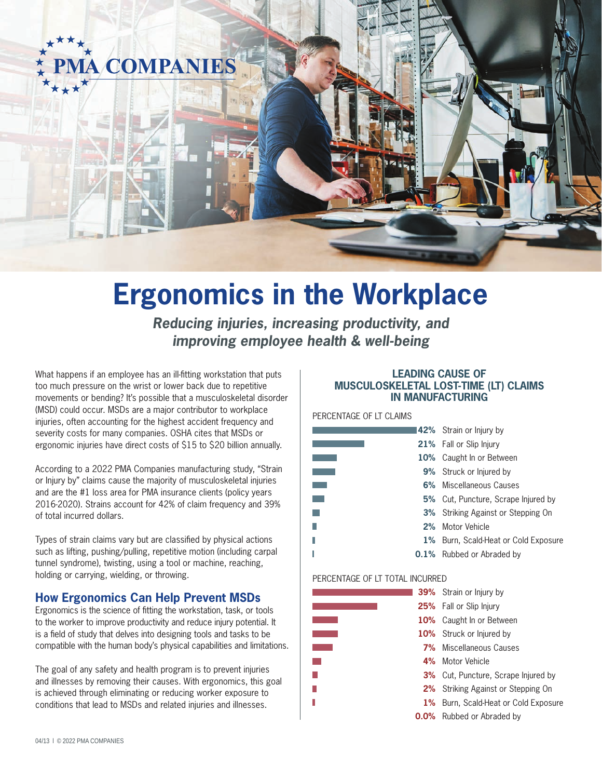

# **Ergonomics in the Workplace**

*Reducing injuries, increasing productivity, and improving employee health & well-being*

What happens if an employee has an ill-fitting workstation that puts too much pressure on the wrist or lower back due to repetitive movements or bending? It's possible that a musculoskeletal disorder (MSD) could occur. MSDs are a major contributor to workplace injuries, often accounting for the highest accident frequency and severity costs for many companies. OSHA cites that MSDs or ergonomic injuries have direct costs of \$15 to \$20 billion annually.

According to a 2022 PMA Companies manufacturing study, "Strain or Injury by" claims cause the majority of musculoskeletal injuries and are the #1 loss area for PMA insurance clients (policy years 2016-2020). Strains account for 42% of claim frequency and 39% of total incurred dollars.

Types of strain claims vary but are classified by physical actions such as lifting, pushing/pulling, repetitive motion (including carpal tunnel syndrome), twisting, using a tool or machine, reaching, holding or carrying, wielding, or throwing.

## **How Ergonomics Can Help Prevent MSDs**

Ergonomics is the science of fitting the workstation, task, or tools to the worker to improve productivity and reduce injury potential. It is a field of study that delves into designing tools and tasks to be compatible with the human body's physical capabilities and limitations.

The goal of any safety and health program is to prevent injuries and illnesses by removing their causes. With ergonomics, this goal is achieved through eliminating or reducing worker exposure to conditions that lead to MSDs and related injuries and illnesses.

## **LEADING CAUSE OF MUSCULOSKELETAL LOST-TIME (LT) CLAIMS IN MANUFACTURING**

PERCENTAGE OF LT CLAIMS

|       | 142% Strain or Injury by                   |
|-------|--------------------------------------------|
|       | <b>21%</b> Fall or Slip Injury             |
|       | 10% Caught In or Between                   |
|       | <b>9%</b> Struck or Injured by             |
|       | 6% Miscellaneous Causes                    |
|       | <b>5%</b> Cut, Puncture, Scrape Injured by |
|       | <b>3%</b> Striking Against or Stepping On  |
|       | 2% Motor Vehicle                           |
| $1\%$ | Burn, Scald-Heat or Cold Exposure          |
|       | <b>0.1%</b> Rubbed or Abraded by           |

### PERCENTAGE OF LT TOTAL INCURRED